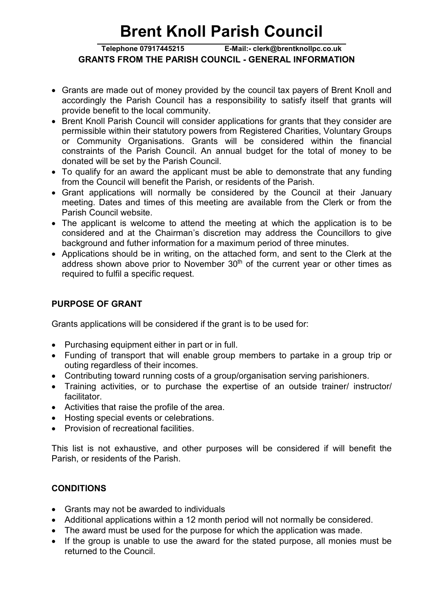# Brent Knoll Parish Council

#### GRANTS FROM THE PARISH COUNCIL - GENERAL INFORMATION Telephone 07917445215 E-Mail:- clerk@brentknollpc.co.uk

- Grants are made out of money provided by the council tax payers of Brent Knoll and accordingly the Parish Council has a responsibility to satisfy itself that grants will provide benefit to the local community.
- Brent Knoll Parish Council will consider applications for grants that they consider are permissible within their statutory powers from Registered Charities, Voluntary Groups or Community Organisations. Grants will be considered within the financial constraints of the Parish Council. An annual budget for the total of money to be donated will be set by the Parish Council.
- To qualify for an award the applicant must be able to demonstrate that any funding from the Council will benefit the Parish, or residents of the Parish.
- Grant applications will normally be considered by the Council at their January meeting. Dates and times of this meeting are available from the Clerk or from the Parish Council website.
- The applicant is welcome to attend the meeting at which the application is to be considered and at the Chairman's discretion may address the Councillors to give background and futher information for a maximum period of three minutes.
- Applications should be in writing, on the attached form, and sent to the Clerk at the address shown above prior to November  $30<sup>th</sup>$  of the current year or other times as required to fulfil a specific request.

### PURPOSE OF GRANT

Grants applications will be considered if the grant is to be used for:

- Purchasing equipment either in part or in full.
- Funding of transport that will enable group members to partake in a group trip or outing regardless of their incomes.
- Contributing toward running costs of a group/organisation serving parishioners.
- Training activities, or to purchase the expertise of an outside trainer/ instructor/ facilitator.
- Activities that raise the profile of the area.
- Hosting special events or celebrations.
- Provision of recreational facilities.

This list is not exhaustive, and other purposes will be considered if will benefit the Parish, or residents of the Parish.

## **CONDITIONS**

- Grants may not be awarded to individuals
- Additional applications within a 12 month period will not normally be considered.
- The award must be used for the purpose for which the application was made.
- If the group is unable to use the award for the stated purpose, all monies must be returned to the Council.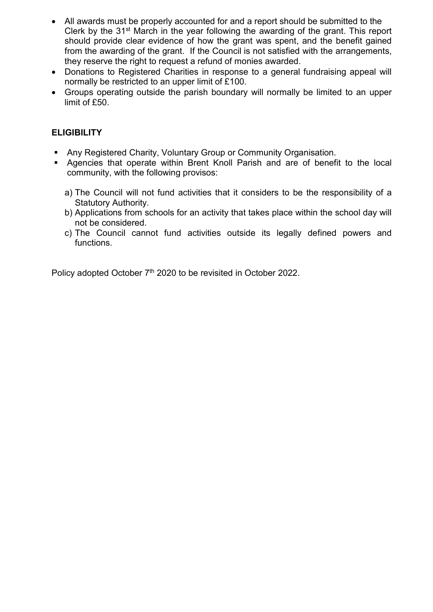- All awards must be properly accounted for and a report should be submitted to the Clerk by the 31st March in the year following the awarding of the grant. This report should provide clear evidence of how the grant was spent, and the benefit gained from the awarding of the grant. If the Council is not satisfied with the arrangements, they reserve the right to request a refund of monies awarded.
- Donations to Registered Charities in response to a general fundraising appeal will normally be restricted to an upper limit of £100.
- Groups operating outside the parish boundary will normally be limited to an upper limit of £50.

### **ELIGIBILITY**

- Any Registered Charity, Voluntary Group or Community Organisation.
- Agencies that operate within Brent Knoll Parish and are of benefit to the local community, with the following provisos:
	- a) The Council will not fund activities that it considers to be the responsibility of a Statutory Authority.
	- b) Applications from schools for an activity that takes place within the school day will not be considered.
	- c) The Council cannot fund activities outside its legally defined powers and functions.

Policy adopted October 7<sup>th</sup> 2020 to be revisited in October 2022.